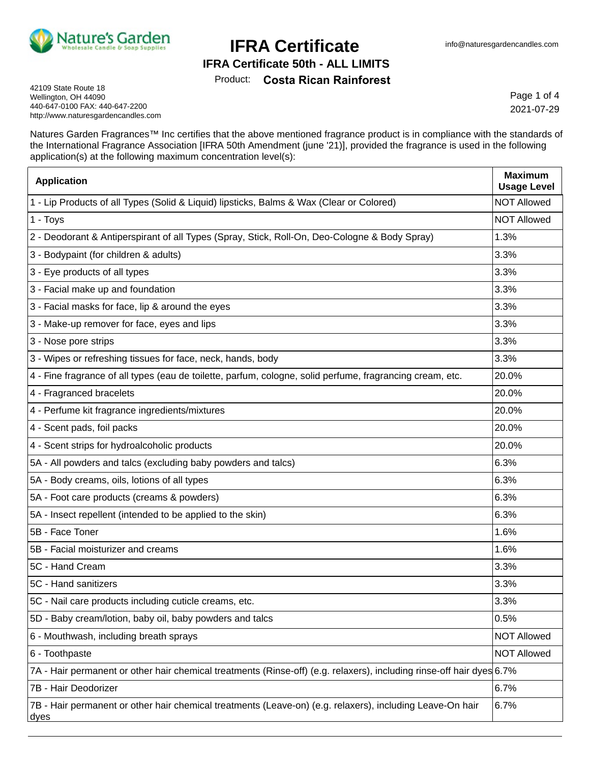

#### **IFRA Certificate 50th - ALL LIMITS**

Product: **Costa Rican Rainforest**

42109 State Route 18 Wellington, OH 44090 440-647-0100 FAX: 440-647-2200 http://www.naturesgardencandles.com

Page 1 of 4 2021-07-29

Natures Garden Fragrances™ Inc certifies that the above mentioned fragrance product is in compliance with the standards of the International Fragrance Association [IFRA 50th Amendment (june '21)], provided the fragrance is used in the following application(s) at the following maximum concentration level(s):

| <b>Application</b>                                                                                                    | <b>Maximum</b><br><b>Usage Level</b> |
|-----------------------------------------------------------------------------------------------------------------------|--------------------------------------|
| 1 - Lip Products of all Types (Solid & Liquid) lipsticks, Balms & Wax (Clear or Colored)                              | <b>NOT Allowed</b>                   |
| 1 - Toys                                                                                                              | <b>NOT Allowed</b>                   |
| 2 - Deodorant & Antiperspirant of all Types (Spray, Stick, Roll-On, Deo-Cologne & Body Spray)                         | 1.3%                                 |
| 3 - Bodypaint (for children & adults)                                                                                 | 3.3%                                 |
| 3 - Eye products of all types                                                                                         | 3.3%                                 |
| 3 - Facial make up and foundation                                                                                     | 3.3%                                 |
| 3 - Facial masks for face, lip & around the eyes                                                                      | 3.3%                                 |
| 3 - Make-up remover for face, eyes and lips                                                                           | 3.3%                                 |
| 3 - Nose pore strips                                                                                                  | 3.3%                                 |
| 3 - Wipes or refreshing tissues for face, neck, hands, body                                                           | 3.3%                                 |
| 4 - Fine fragrance of all types (eau de toilette, parfum, cologne, solid perfume, fragrancing cream, etc.             | 20.0%                                |
| 4 - Fragranced bracelets                                                                                              | 20.0%                                |
| 4 - Perfume kit fragrance ingredients/mixtures                                                                        | 20.0%                                |
| 4 - Scent pads, foil packs                                                                                            | 20.0%                                |
| 4 - Scent strips for hydroalcoholic products                                                                          | 20.0%                                |
| 5A - All powders and talcs (excluding baby powders and talcs)                                                         | 6.3%                                 |
| 5A - Body creams, oils, lotions of all types                                                                          | 6.3%                                 |
| 5A - Foot care products (creams & powders)                                                                            | 6.3%                                 |
| 5A - Insect repellent (intended to be applied to the skin)                                                            | 6.3%                                 |
| 5B - Face Toner                                                                                                       | 1.6%                                 |
| 5B - Facial moisturizer and creams                                                                                    | 1.6%                                 |
| 5C - Hand Cream                                                                                                       | 3.3%                                 |
| 5C - Hand sanitizers                                                                                                  | 3.3%                                 |
| 5C - Nail care products including cuticle creams, etc.                                                                | 3.3%                                 |
| 5D - Baby cream/lotion, baby oil, baby powders and talcs                                                              | 0.5%                                 |
| 6 - Mouthwash, including breath sprays                                                                                | <b>NOT Allowed</b>                   |
| 6 - Toothpaste                                                                                                        | <b>NOT Allowed</b>                   |
| 7A - Hair permanent or other hair chemical treatments (Rinse-off) (e.g. relaxers), including rinse-off hair dyes 6.7% |                                      |
| 7B - Hair Deodorizer                                                                                                  | 6.7%                                 |
| 7B - Hair permanent or other hair chemical treatments (Leave-on) (e.g. relaxers), including Leave-On hair<br>dyes     | 6.7%                                 |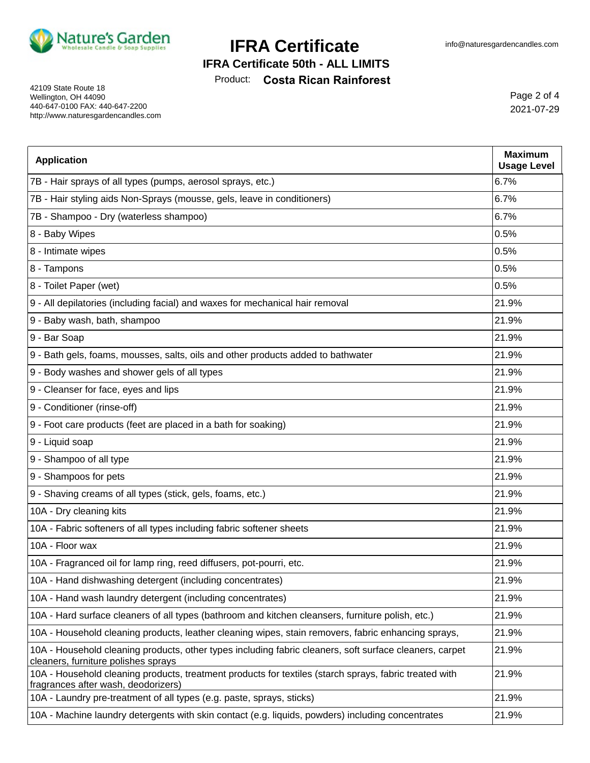

**IFRA Certificate 50th - ALL LIMITS**

Product: **Costa Rican Rainforest**

42109 State Route 18 Wellington, OH 44090 440-647-0100 FAX: 440-647-2200 http://www.naturesgardencandles.com

Page 2 of 4 2021-07-29

| <b>Application</b>                                                                                                                             | <b>Maximum</b><br><b>Usage Level</b> |
|------------------------------------------------------------------------------------------------------------------------------------------------|--------------------------------------|
| 7B - Hair sprays of all types (pumps, aerosol sprays, etc.)                                                                                    | 6.7%                                 |
| 7B - Hair styling aids Non-Sprays (mousse, gels, leave in conditioners)                                                                        | 6.7%                                 |
| 7B - Shampoo - Dry (waterless shampoo)                                                                                                         | 6.7%                                 |
| 8 - Baby Wipes                                                                                                                                 | 0.5%                                 |
| 8 - Intimate wipes                                                                                                                             | 0.5%                                 |
| 8 - Tampons                                                                                                                                    | 0.5%                                 |
| 8 - Toilet Paper (wet)                                                                                                                         | 0.5%                                 |
| 9 - All depilatories (including facial) and waxes for mechanical hair removal                                                                  | 21.9%                                |
| 9 - Baby wash, bath, shampoo                                                                                                                   | 21.9%                                |
| 9 - Bar Soap                                                                                                                                   | 21.9%                                |
| 9 - Bath gels, foams, mousses, salts, oils and other products added to bathwater                                                               | 21.9%                                |
| 9 - Body washes and shower gels of all types                                                                                                   | 21.9%                                |
| 9 - Cleanser for face, eyes and lips                                                                                                           | 21.9%                                |
| 9 - Conditioner (rinse-off)                                                                                                                    | 21.9%                                |
| 9 - Foot care products (feet are placed in a bath for soaking)                                                                                 | 21.9%                                |
| 9 - Liquid soap                                                                                                                                | 21.9%                                |
| 9 - Shampoo of all type                                                                                                                        | 21.9%                                |
| 9 - Shampoos for pets                                                                                                                          | 21.9%                                |
| 9 - Shaving creams of all types (stick, gels, foams, etc.)                                                                                     | 21.9%                                |
| 10A - Dry cleaning kits                                                                                                                        | 21.9%                                |
| 10A - Fabric softeners of all types including fabric softener sheets                                                                           | 21.9%                                |
| 10A - Floor wax                                                                                                                                | 21.9%                                |
| 10A - Fragranced oil for lamp ring, reed diffusers, pot-pourri, etc.                                                                           | 21.9%                                |
| 10A - Hand dishwashing detergent (including concentrates)                                                                                      | 21.9%                                |
| 10A - Hand wash laundry detergent (including concentrates)                                                                                     | 21.9%                                |
| 10A - Hard surface cleaners of all types (bathroom and kitchen cleansers, furniture polish, etc.)                                              | 21.9%                                |
| 10A - Household cleaning products, leather cleaning wipes, stain removers, fabric enhancing sprays,                                            | 21.9%                                |
| 10A - Household cleaning products, other types including fabric cleaners, soft surface cleaners, carpet<br>cleaners, furniture polishes sprays | 21.9%                                |
| 10A - Household cleaning products, treatment products for textiles (starch sprays, fabric treated with<br>fragrances after wash, deodorizers)  | 21.9%                                |
| 10A - Laundry pre-treatment of all types (e.g. paste, sprays, sticks)                                                                          | 21.9%                                |
| 10A - Machine laundry detergents with skin contact (e.g. liquids, powders) including concentrates                                              | 21.9%                                |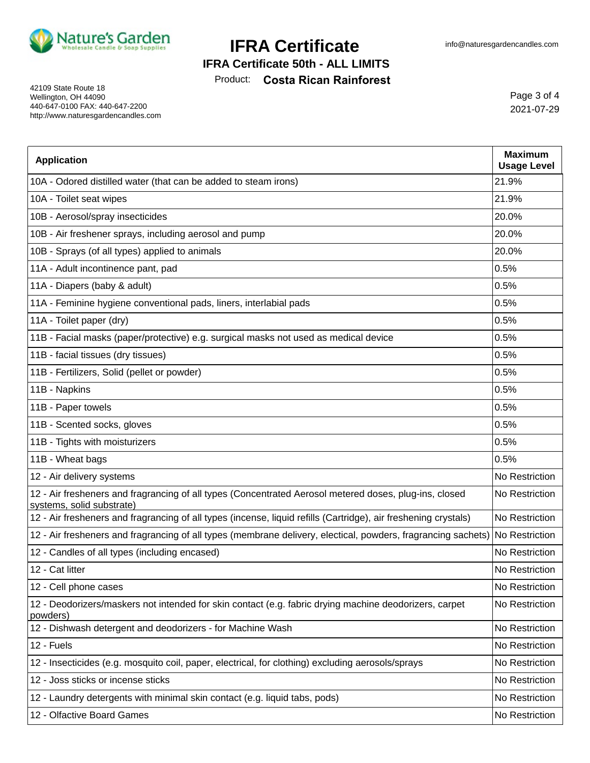

#### **IFRA Certificate 50th - ALL LIMITS**

Product: **Costa Rican Rainforest**

42109 State Route 18 Wellington, OH 44090 440-647-0100 FAX: 440-647-2200 http://www.naturesgardencandles.com

Page 3 of 4 2021-07-29

| <b>Application</b>                                                                                                                  | <b>Maximum</b><br><b>Usage Level</b> |
|-------------------------------------------------------------------------------------------------------------------------------------|--------------------------------------|
| 10A - Odored distilled water (that can be added to steam irons)                                                                     | 21.9%                                |
| 10A - Toilet seat wipes                                                                                                             | 21.9%                                |
| 10B - Aerosol/spray insecticides                                                                                                    | 20.0%                                |
| 10B - Air freshener sprays, including aerosol and pump                                                                              | 20.0%                                |
| 10B - Sprays (of all types) applied to animals                                                                                      | 20.0%                                |
| 11A - Adult incontinence pant, pad                                                                                                  | 0.5%                                 |
| 11A - Diapers (baby & adult)                                                                                                        | 0.5%                                 |
| 11A - Feminine hygiene conventional pads, liners, interlabial pads                                                                  | 0.5%                                 |
| 11A - Toilet paper (dry)                                                                                                            | 0.5%                                 |
| 11B - Facial masks (paper/protective) e.g. surgical masks not used as medical device                                                | 0.5%                                 |
| 11B - facial tissues (dry tissues)                                                                                                  | 0.5%                                 |
| 11B - Fertilizers, Solid (pellet or powder)                                                                                         | 0.5%                                 |
| 11B - Napkins                                                                                                                       | 0.5%                                 |
| 11B - Paper towels                                                                                                                  | 0.5%                                 |
| 11B - Scented socks, gloves                                                                                                         | 0.5%                                 |
| 11B - Tights with moisturizers                                                                                                      | 0.5%                                 |
| 11B - Wheat bags                                                                                                                    | 0.5%                                 |
| 12 - Air delivery systems                                                                                                           | No Restriction                       |
| 12 - Air fresheners and fragrancing of all types (Concentrated Aerosol metered doses, plug-ins, closed<br>systems, solid substrate) | No Restriction                       |
| 12 - Air fresheners and fragrancing of all types (incense, liquid refills (Cartridge), air freshening crystals)                     | No Restriction                       |
| 12 - Air fresheners and fragrancing of all types (membrane delivery, electical, powders, fragrancing sachets) No Restriction        |                                      |
| 12 - Candles of all types (including encased)                                                                                       | No Restriction                       |
| 12 - Cat litter                                                                                                                     | No Restriction                       |
| 12 - Cell phone cases                                                                                                               | No Restriction                       |
| 12 - Deodorizers/maskers not intended for skin contact (e.g. fabric drying machine deodorizers, carpet<br>powders)                  | No Restriction                       |
| 12 - Dishwash detergent and deodorizers - for Machine Wash                                                                          | No Restriction                       |
| 12 - Fuels                                                                                                                          | No Restriction                       |
| 12 - Insecticides (e.g. mosquito coil, paper, electrical, for clothing) excluding aerosols/sprays                                   | No Restriction                       |
| 12 - Joss sticks or incense sticks                                                                                                  | No Restriction                       |
| 12 - Laundry detergents with minimal skin contact (e.g. liquid tabs, pods)                                                          | No Restriction                       |
| 12 - Olfactive Board Games                                                                                                          | No Restriction                       |